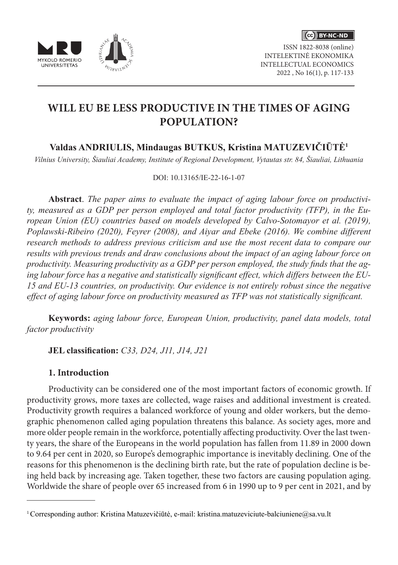



ISSN 1822-8038 (online) INTELEKTINĖ EKONOMIKA INTELLECTUAL ECONOMICS 2022 , No 16(1), p. 117-133

# **WILL EU BE LESS PRODUCTIVE IN THE TIMES OF AGING POPULATION?**

## **Valdas ANDRIULIS, Mindaugas BUTKUS, Kristina MATUZEVIČIŪTĖ<sup>1</sup>**

*Vilnius University, Šiauliai Academy, Institute of Regional Development, Vytautas str. 84, Šiauliai, Lithuania*

### DOI: 10.13165/IE-22-16-1-07

**Abstract**. *The paper aims to evaluate the impact of aging labour force on productivity, measured as a GDP per person employed and total factor productivity (TFP), in the European Union (EU) countries based on models developed by Calvo-Sotomayor et al. (2019), Poplawski-Ribeiro (2020), Feyrer (2008), and Aiyar and Ebeke (2016). We combine different research methods to address previous criticism and use the most recent data to compare our results with previous trends and draw conclusions about the impact of an aging labour force on productivity. Measuring productivity as a GDP per person employed, the study finds that the aging labour force has a negative and statistically significant effect, which differs between the EU-15 and EU-13 countries, on productivity. Our evidence is not entirely robust since the negative effect of aging labour force on productivity measured as TFP was not statistically significant.*

**Keywords:** *aging labour force, European Union, productivity, panel data models, total factor productivity*

**JEL classification:** *C33, D24, J11, J14, J21*

## **1. Introduction**

Productivity can be considered one of the most important factors of economic growth. If productivity grows, more taxes are collected, wage raises and additional investment is created. Productivity growth requires a balanced workforce of young and older workers, but the demographic phenomenon called aging population threatens this balance. As society ages, more and more older people remain in the workforce, potentially affecting productivity. Over the last twenty years, the share of the Europeans in the world population has fallen from 11.89 in 2000 down to 9.64 per cent in 2020, so Europe's demographic importance is inevitably declining. One of the reasons for this phenomenon is the declining birth rate, but the rate of population decline is being held back by increasing age. Taken together, these two factors are causing population aging. Worldwide the share of people over 65 increased from 6 in 1990 up to 9 per cent in 2021, and by

<sup>&</sup>lt;sup>1</sup> Corresponding author: Kristina Matuzevičiūtė, e-mail: kristina.matuzeviciute-balciuniene@sa.vu.lt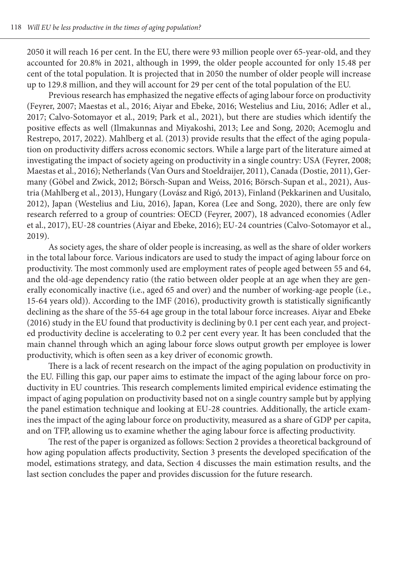2050 it will reach 16 per cent. In the EU, there were 93 million people over 65-year-old, and they accounted for 20.8% in 2021, although in 1999, the older people accounted for only 15.48 per cent of the total population. It is projected that in 2050 the number of older people will increase up to 129.8 million, and they will account for 29 per cent of the total population of the EU.

Previous research has emphasized the negative effects of aging labour force on productivity (Feyrer, 2007; Maestas et al., 2016; Aiyar and Ebeke, 2016; Westelius and Liu, 2016; Adler et al., 2017; Calvo-Sotomayor et al., 2019; Park et al., 2021), but there are studies which identify the positive effects as well (Ilmakunnas and Miyakoshi, 2013; Lee and Song, 2020; Acemoglu and Restrepo, 2017, 2022). Mahlberg et al. (2013) provide results that the effect of the aging population on productivity differs across economic sectors. While a large part of the literature aimed at investigating the impact of society ageing on productivity in a single country: USA (Feyrer, 2008; Maestas et al., 2016); Netherlands (Van Ours and Stoeldraijer, 2011), Canada (Dostie, 2011), Germany (Göbel and Zwick, 2012; Börsch-Supan and Weiss, 2016; Börsch-Supan et al., 2021), Austria (Mahlberg et al., 2013), Hungary (Lovász and Rigó, 2013), Finland (Pekkarinen and Uusitalo, 2012), Japan (Westelius and Liu, 2016), Japan, Korea (Lee and Song, 2020), there are only few research referred to a group of countries: OECD (Feyrer, 2007), 18 advanced economies (Adler et al., 2017), EU-28 countries (Aiyar and Ebeke, 2016); EU-24 countries (Calvo-Sotomayor et al., 2019).

As society ages, the share of older people is increasing, as well as the share of older workers in the total labour force. Various indicators are used to study the impact of aging labour force on productivity. The most commonly used are employment rates of people aged between 55 and 64, and the old-age dependency ratio (the ratio between older people at an age when they are generally economically inactive (i.e., aged 65 and over) and the number of working-age people (i.e., 15-64 years old)). According to the IMF (2016), productivity growth is statistically significantly declining as the share of the 55-64 age group in the total labour force increases. Aiyar and Ebeke (2016) study in the EU found that productivity is declining by 0.1 per cent each year, and projected productivity decline is accelerating to 0.2 per cent every year. It has been concluded that the main channel through which an aging labour force slows output growth per employee is lower productivity, which is often seen as a key driver of economic growth.

There is a lack of recent research on the impact of the aging population on productivity in the EU. Filling this gap, our paper aims to estimate the impact of the aging labour force on productivity in EU countries. This research complements limited empirical evidence estimating the impact of aging population on productivity based not on a single country sample but by applying the panel estimation technique and looking at EU-28 countries. Additionally, the article examines the impact of the aging labour force on productivity, measured as a share of GDP per capita, and on TFP, allowing us to examine whether the aging labour force is affecting productivity.

The rest of the paper is organized as follows: Section 2 provides a theoretical background of how aging population affects productivity, Section 3 presents the developed specification of the model, estimations strategy, and data, Section 4 discusses the main estimation results, and the last section concludes the paper and provides discussion for the future research.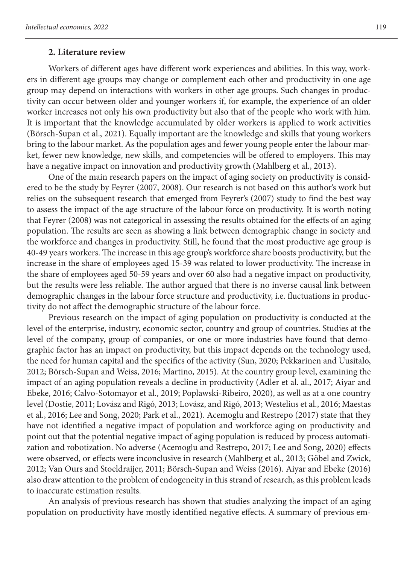#### **2. Literature review**

Workers of different ages have different work experiences and abilities. In this way, workers in different age groups may change or complement each other and productivity in one age group may depend on interactions with workers in other age groups. Such changes in productivity can occur between older and younger workers if, for example, the experience of an older worker increases not only his own productivity but also that of the people who work with him. It is important that the knowledge accumulated by older workers is applied to work activities (Börsch-Supan et al., 2021). Equally important are the knowledge and skills that young workers bring to the labour market. As the population ages and fewer young people enter the labour market, fewer new knowledge, new skills, and competencies will be offered to employers. This may have a negative impact on innovation and productivity growth (Mahlberg et al., 2013).

One of the main research papers on the impact of aging society on productivity is considered to be the study by Feyrer (2007, 2008). Our research is not based on this author's work but relies on the subsequent research that emerged from Feyrer's (2007) study to find the best way to assess the impact of the age structure of the labour force on productivity. It is worth noting that Feyrer (2008) was not categorical in assessing the results obtained for the effects of an aging population. The results are seen as showing a link between demographic change in society and the workforce and changes in productivity. Still, he found that the most productive age group is 40-49 years workers. The increase in this age group's workforce share boosts productivity, but the increase in the share of employees aged 15-39 was related to lower productivity. The increase in the share of employees aged 50-59 years and over 60 also had a negative impact on productivity, but the results were less reliable. The author argued that there is no inverse causal link between demographic changes in the labour force structure and productivity, i.e. fluctuations in productivity do not affect the demographic structure of the labour force.

Previous research on the impact of aging population on productivity is conducted at the level of the enterprise, industry, economic sector, country and group of countries. Studies at the level of the company, group of companies, or one or more industries have found that demographic factor has an impact on productivity, but this impact depends on the technology used, the need for human capital and the specifics of the activity (Sun, 2020; Pekkarinen and Uusitalo, 2012; Börsch-Supan and Weiss, 2016; Martino, 2015). At the country group level, examining the impact of an aging population reveals a decline in productivity (Adler et al. al., 2017; Aiyar and Ebeke, 2016; Calvo-Sotomayor et al., 2019; Poplawski-Ribeiro, 2020), as well as at a one country level (Dostie, 2011; Lovász and Rigó, 2013; Lovász, and Rigó, 2013; Westelius et al., 2016; Maestas et al., 2016; Lee and Song, 2020; Park et al., 2021). Acemoglu and Restrepo (2017) state that they have not identified a negative impact of population and workforce aging on productivity and point out that the potential negative impact of aging population is reduced by process automatization and robotization. No adverse (Acemoglu and Restrepo, 2017; Lee and Song, 2020) effects were observed, or effects were inconclusive in research (Mahlberg et al., 2013; Göbel and Zwick, 2012; Van Ours and Stoeldraijer, 2011; Börsch-Supan and Weiss (2016). Aiyar and Ebeke (2016) also draw attention to the problem of endogeneity in this strand of research, as this problem leads to inaccurate estimation results.

An analysis of previous research has shown that studies analyzing the impact of an aging population on productivity have mostly identified negative effects. A summary of previous em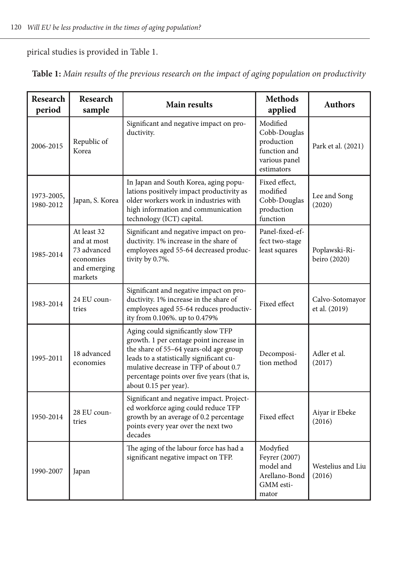pirical studies is provided in Table 1.

| Research<br>period      | Research<br>sample                                                                | Main results                                                                                                                                                                                                                                                                         | <b>Methods</b><br>applied                                                             | <b>Authors</b>                   |
|-------------------------|-----------------------------------------------------------------------------------|--------------------------------------------------------------------------------------------------------------------------------------------------------------------------------------------------------------------------------------------------------------------------------------|---------------------------------------------------------------------------------------|----------------------------------|
| 2006-2015               | Republic of<br>Korea                                                              | Significant and negative impact on pro-<br>ductivity.                                                                                                                                                                                                                                | Modified<br>Cobb-Douglas<br>production<br>function and<br>various panel<br>estimators | Park et al. (2021)               |
| 1973-2005,<br>1980-2012 | Japan, S. Korea                                                                   | In Japan and South Korea, aging popu-<br>lations positively impact productivity as<br>older workers work in industries with<br>high information and communication<br>technology (ICT) capital.                                                                                       | Fixed effect.<br>modified<br>Cobb-Douglas<br>production<br>function                   | Lee and Song<br>(2020)           |
| 1985-2014               | At least 32<br>and at most<br>73 advanced<br>economies<br>and emerging<br>markets | Significant and negative impact on pro-<br>ductivity. 1% increase in the share of<br>employees aged 55-64 decreased produc-<br>tivity by 0.7%.                                                                                                                                       | Panel-fixed-ef-<br>fect two-stage<br>least squares                                    | Poplawski-Ri-<br>beiro (2020)    |
| 1983-2014               | 24 EU coun-<br>tries                                                              | Significant and negative impact on pro-<br>ductivity. 1% increase in the share of<br>employees aged 55-64 reduces productiv-<br>ity from 0.106%. up to 0.479%                                                                                                                        | Fixed effect                                                                          | Calvo-Sotomayor<br>et al. (2019) |
| 1995-2011               | 18 advanced<br>economies                                                          | Aging could significantly slow TFP<br>growth. 1 per centage point increase in<br>the share of 55-64 years-old age group<br>leads to a statistically significant cu-<br>mulative decrease in TFP of about 0.7<br>percentage points over five years (that is,<br>about 0.15 per year). | Decomposi-<br>tion method                                                             | Adler et al.<br>(2017)           |
| 1950-2014               | 28 EU coun-<br>tries                                                              | Significant and negative impact. Project-<br>ed workforce aging could reduce TFP<br>growth by an average of 0.2 percentage<br>points every year over the next two<br>decades                                                                                                         | Fixed effect                                                                          | Aiyar ir Ebeke<br>(2016)         |
| 1990-2007               | Japan                                                                             | The aging of the labour force has had a<br>significant negative impact on TFP.                                                                                                                                                                                                       | Modyfied<br>Feyrer (2007)<br>model and<br>Arellano-Bond<br>GMM esti-<br>mator         | Westelius and Liu<br>(2016)      |

**Table 1:** *Main results of the previous research on the impact of aging population on productivity*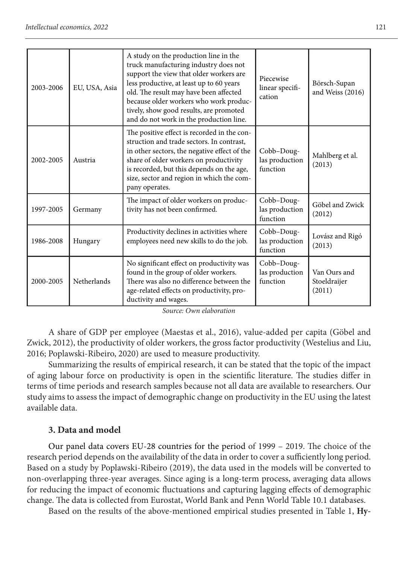| 2003-2006 | EU, USA, Asia      | A study on the production line in the<br>truck manufacturing industry does not<br>support the view that older workers are<br>less productive, at least up to 60 years<br>old. The result may have been affected<br>because older workers who work produc-<br>tively, show good results, are promoted<br>and do not work in the production line. | Piecewise<br>linear specifi-<br>cation   | Börsch-Supan<br>and Weiss (2016)       |
|-----------|--------------------|-------------------------------------------------------------------------------------------------------------------------------------------------------------------------------------------------------------------------------------------------------------------------------------------------------------------------------------------------|------------------------------------------|----------------------------------------|
| 2002-2005 | Austria            | The positive effect is recorded in the con-<br>struction and trade sectors. In contrast,<br>in other sectors, the negative effect of the<br>share of older workers on productivity<br>is recorded, but this depends on the age,<br>size, sector and region in which the com-<br>pany operates.                                                  | Cobb-Doug-<br>las production<br>function | Mahlberg et al.<br>(2013)              |
| 1997-2005 | Germany            | The impact of older workers on produc-<br>tivity has not been confirmed.                                                                                                                                                                                                                                                                        | Cobb-Doug-<br>las production<br>function | Göbel and Zwick<br>(2012)              |
| 1986-2008 | Hungary            | Productivity declines in activities where<br>employees need new skills to do the job.                                                                                                                                                                                                                                                           | Cobb-Doug-<br>las production<br>function | Lovász and Rigó<br>(2013)              |
| 2000-2005 | <b>Netherlands</b> | No significant effect on productivity was<br>found in the group of older workers.<br>There was also no difference between the<br>age-related effects on productivity, pro-<br>ductivity and wages.                                                                                                                                              | Cobb-Doug-<br>las production<br>function | Van Ours and<br>Stoeldraijer<br>(2011) |

A share of GDP per employee (Maestas et al., 2016), value-added per capita (Göbel and Zwick, 2012), the productivity of older workers, the gross factor productivity (Westelius and Liu, 2016; Poplawski-Ribeiro, 2020) are used to measure productivity.

Summarizing the results of empirical research, it can be stated that the topic of the impact of aging labour force on productivity is open in the scientific literature. The studies differ in terms of time periods and research samples because not all data are available to researchers. Our study aims to assess the impact of demographic change on productivity in the EU using the latest available data.

## **3. Data and model**

Our panel data covers EU-28 countries for the period of 1999 – 2019. The choice of the research period depends on the availability of the data in order to cover a sufficiently long period. Based on a study by Poplawski-Ribeiro (2019), the data used in the models will be converted to non-overlapping three-year averages. Since aging is a long-term process, averaging data allows for reducing the impact of economic fluctuations and capturing lagging effects of demographic change. The data is collected from Eurostat, World Bank and Penn World Table 10.1 databases.

Based on the results of the above-mentioned empirical studies presented in Table 1, **Hy-**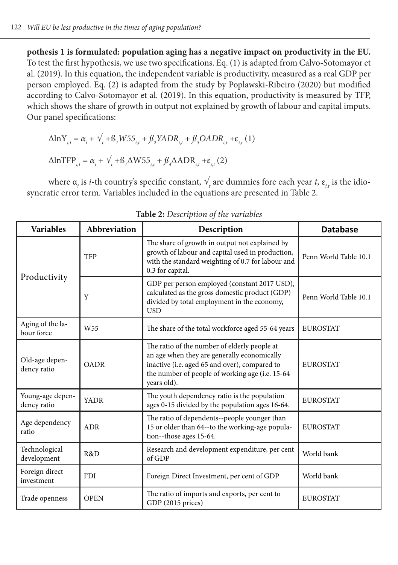**pothesis 1 is formulated: population aging has a negative impact on productivity in the EU.** To test the first hypothesis, we use two specifications. Eq. (1) is adapted from Calvo-Sotomayor et al. (2019). In this equation, the independent variable is productivity, measured as a real GDP per person employed. Eq. (2) is adapted from the study by Poplawski-Ribeiro (2020) but modified according to Calvo-Sotomayor et al. (2019). In this equation, productivity is measured by TFP, which shows the share of growth in output not explained by growth of labour and capital imputs. Our panel specifications:

$$
\Delta \ln Y_{i,t} = \alpha_i + \sqrt{t} + \beta_i W 55_{i,t} + \beta_2 Y A D R_{i,t} + \beta_3 O A D R_{i,t} + \varepsilon_{i,t} (1)
$$
  

$$
\Delta \ln \text{TFP}_{i,t} = \alpha_i + \sqrt{t} + \beta_1 \Delta W 55_{i,t} + \beta_4 \Delta A D R_{i,t} + \varepsilon_{i,t} (2)
$$

where α<sub>*i*</sub> is *i*-th country's specific constant,  $V_t$  are dummies fore each year *t*, ε<sub>*it*</sub> is the idiosyncratic error term. Variables included in the equations are presented in Table 2.

| <b>Variables</b>                                                                                                                                                                                                                                                | Abbreviation    | Description                                                                                                                                                                 | <b>Database</b>       |
|-----------------------------------------------------------------------------------------------------------------------------------------------------------------------------------------------------------------------------------------------------------------|-----------------|-----------------------------------------------------------------------------------------------------------------------------------------------------------------------------|-----------------------|
|                                                                                                                                                                                                                                                                 | <b>TFP</b>      | The share of growth in output not explained by<br>growth of labour and capital used in production,<br>with the standard weighting of 0.7 for labour and<br>0.3 for capital. | Penn World Table 10.1 |
| Productivity                                                                                                                                                                                                                                                    | Y               | GDP per person employed (constant 2017 USD),<br>calculated as the gross domestic product (GDP)<br>divided by total employment in the economy,<br><b>USD</b>                 | Penn World Table 10.1 |
| Aging of the la-<br>bour force                                                                                                                                                                                                                                  | W <sub>55</sub> | The share of the total workforce aged 55-64 years                                                                                                                           | <b>EUROSTAT</b>       |
| The ratio of the number of elderly people at<br>an age when they are generally economically<br>Old-age depen-<br>inactive (i.e. aged 65 and over), compared to<br><b>OADR</b><br>dency ratio<br>the number of people of working age (i.e. 15-64)<br>years old). |                 | <b>EUROSTAT</b>                                                                                                                                                             |                       |
| Young-age depen-<br><b>YADR</b><br>dency ratio                                                                                                                                                                                                                  |                 | The youth dependency ratio is the population<br>ages 0-15 divided by the population ages 16-64.                                                                             | <b>EUROSTAT</b>       |
| Age dependency<br>ratio                                                                                                                                                                                                                                         | <b>ADR</b>      | The ratio of dependents--people younger than<br>15 or older than 64--to the working-age popula-<br>tion--those ages 15-64.                                                  | <b>EUROSTAT</b>       |
| Technological<br>development                                                                                                                                                                                                                                    | R&D             | Research and development expenditure, per cent<br>of GDP                                                                                                                    | World bank            |
| Foreign direct<br>investment                                                                                                                                                                                                                                    | <b>FDI</b>      | Foreign Direct Investment, per cent of GDP                                                                                                                                  | World bank            |
| Trade openness                                                                                                                                                                                                                                                  | <b>OPEN</b>     | The ratio of imports and exports, per cent to<br>GDP (2015 prices)                                                                                                          | <b>EUROSTAT</b>       |

**Table 2:** *Description of the variables*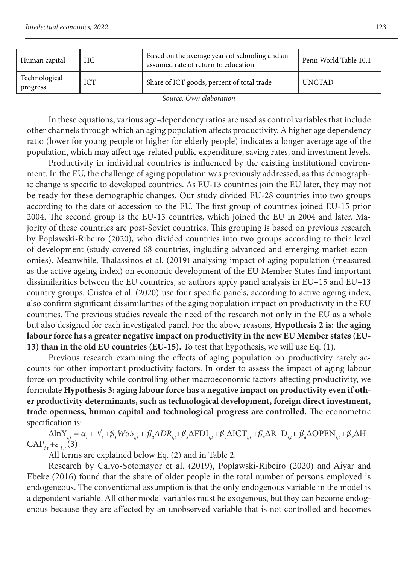| Human capital             | НC  | Based on the average years of schooling and an<br>assumed rate of return to education | Penn World Table 10.1 |
|---------------------------|-----|---------------------------------------------------------------------------------------|-----------------------|
| Technological<br>progress | ICT | Share of ICT goods, percent of total trade                                            | <b>UNCTAD</b>         |

In these equations, various age-dependency ratios are used as control variables that include other channels through which an aging population affects productivity. A higher age dependency ratio (lower for young people or higher for elderly people) indicates a longer average age of the population, which may affect age-related public expenditure, saving rates, and investment levels.

Productivity in individual countries is influenced by the existing institutional environment. In the EU, the challenge of aging population was previously addressed, as this demographic change is specific to developed countries. As EU-13 countries join the EU later, they may not be ready for these demographic changes. Our study divided EU-28 countries into two groups according to the date of accession to the EU. The first group of countries joined EU-15 prior 2004. The second group is the EU-13 countries, which joined the EU in 2004 and later. Majority of these countries are post-Soviet countries. This grouping is based on previous research by Poplawski-Ribeiro (2020), who divided countries into two groups according to their level of development (study covered 68 countries, ingluding advanced and emerging market economies). Meanwhile, Thalassinos et al. (2019) analysing impact of aging population (measured as the active ageing index) on economic development of the EU Member States find important dissimilarities between the EU countries, so authors apply panel analysis in EU–15 and EU–13 country groups. Cristea et al. (2020) use four specific panels, according to active ageing index, also confirm significant dissimilarities of the aging population impact on productivity in the EU countries. The previous studies reveale the need of the research not only in the EU as a whole but also designed for each investigated panel. For the above reasons, **Hypothesis 2 is: the aging labour force has a greater negative impact on productivity in the new EU Member states (EU-13) than in the old EU countries (EU-15).** To test that hypothesis, we will use Eq. (1).

Previous research examining the effects of aging population on productivity rarely accounts for other important productivity factors. In order to assess the impact of aging labour force on productivity while controlling other macroeconomic factors affecting productivity, we formulate **Hypothesis 3: aging labour force has a negative impact on productivity even if other productivity determinants, such as technological development, foreign direct investment, trade openness, human capital and technological progress are controlled.** The econometric specification is:

 $\Delta \ln Y_{i,t} = \alpha_i + \gamma_t + \beta_i W 55_{i,t} + \beta_2 ADR_{i,t} + \beta_3 \Delta F D I_{i,t} + \beta_4 \Delta I C T_{i,t} + \beta_5 \Delta R\_D_{i,t} + \beta_6 \Delta OPE N_{i,t} + \beta_7 \Delta H\_D$  $CAP_{i,t} + \varepsilon_{i,t}$ (3)

All terms are explained below Eq. (2) and in Table 2.

Research by Calvo-Sotomayor et al. (2019), Poplawski-Ribeiro (2020) and Aiyar and Ebeke (2016) found that the share of older people in the total number of persons employed is endogeneous. The conventional assumption is that the only endogenous variable in the model is a dependent variable. All other model variables must be exogenous, but they can become endogenous because they are affected by an unobserved variable that is not controlled and becomes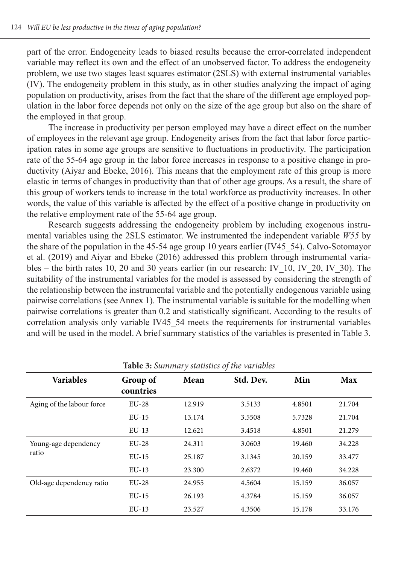part of the error. Endogeneity leads to biased results because the error-correlated independent variable may reflect its own and the effect of an unobserved factor. To address the endogeneity problem, we use two stages least squares estimator (2SLS) with external instrumental variables (IV). The endogeneity problem in this study, as in other studies analyzing the impact of aging population on productivity, arises from the fact that the share of the different age employed population in the labor force depends not only on the size of the age group but also on the share of the employed in that group.

The increase in productivity per person employed may have a direct effect on the number of employees in the relevant age group. Endogeneity arises from the fact that labor force participation rates in some age groups are sensitive to fluctuations in productivity. The participation rate of the 55-64 age group in the labor force increases in response to a positive change in productivity (Aiyar and Ebeke, 2016). This means that the employment rate of this group is more elastic in terms of changes in productivity than that of other age groups. As a result, the share of this group of workers tends to increase in the total workforce as productivity increases. In other words, the value of this variable is affected by the effect of a positive change in productivity on the relative employment rate of the 55-64 age group.

Research suggests addressing the endogeneity problem by including exogenous instrumental variables using the 2SLS estimator. We instrumented the independent variable *W55* by the share of the population in the 45-54 age group 10 years earlier (IV45\_54). Calvo-Sotomayor et al. (2019) and Aiyar and Ebeke (2016) addressed this problem through instrumental variables – the birth rates 10, 20 and 30 years earlier (in our research: IV\_10, IV\_20, IV\_30). The suitability of the instrumental variables for the model is assessed by considering the strength of the relationship between the instrumental variable and the potentially endogenous variable using pairwise correlations (see Annex 1). The instrumental variable is suitable for the modelling when pairwise correlations is greater than 0.2 and statistically significant. According to the results of correlation analysis only variable IV45\_54 meets the requirements for instrumental variables and will be used in the model. A brief summary statistics of the variables is presented in Table 3.

| <b>THOIC</b> OF OWNER THE PUBLICATION OF THE PUBLIC POST |                       |        |           |        |        |  |  |  |
|----------------------------------------------------------|-----------------------|--------|-----------|--------|--------|--|--|--|
| <b>Variables</b>                                         | Group of<br>countries | Mean   | Std. Dev. | Min    | Max    |  |  |  |
| Aging of the labour force                                | $EU-28$               | 12.919 | 3.5133    | 4.8501 | 21.704 |  |  |  |
|                                                          | $EU-15$               | 13.174 | 3.5508    | 5.7328 | 21.704 |  |  |  |
|                                                          | $EU-13$               | 12.621 | 3.4518    | 4.8501 | 21.279 |  |  |  |
| Young-age dependency                                     | $EU-28$               | 24.311 | 3.0603    | 19.460 | 34.228 |  |  |  |
| ratio                                                    | $EU-15$               | 25.187 | 3.1345    | 20.159 | 33.477 |  |  |  |
|                                                          | $EU-13$               | 23.300 | 2.6372    | 19.460 | 34.228 |  |  |  |
| Old-age dependency ratio                                 | $EU-28$               | 24.955 | 4.5604    | 15.159 | 36.057 |  |  |  |
|                                                          | $EU-15$               | 26.193 | 4.3784    | 15.159 | 36.057 |  |  |  |
|                                                          | $EU-13$               | 23.527 | 4.3506    | 15.178 | 33.176 |  |  |  |

**Table 3:** *Summary statistics of the variables*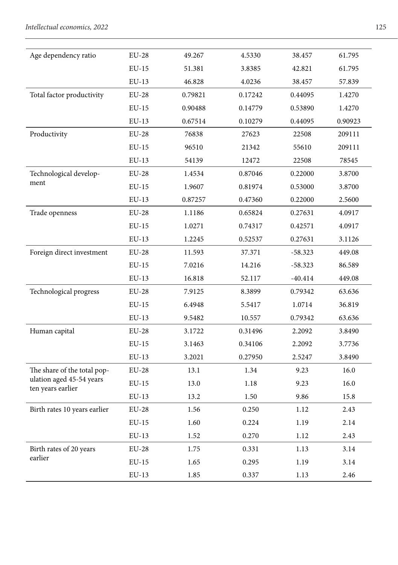| Age dependency ratio                          | $EU-28$      | 49.267  | 4.5330  | 38.457    | 61.795  |
|-----------------------------------------------|--------------|---------|---------|-----------|---------|
|                                               | $EU-15$      | 51.381  | 3.8385  | 42.821    | 61.795  |
|                                               | $EU-13$      | 46.828  | 4.0236  | 38.457    | 57.839  |
| Total factor productivity                     | $EU-28$      | 0.79821 | 0.17242 | 0.44095   | 1.4270  |
|                                               | $EU-15$      | 0.90488 | 0.14779 | 0.53890   | 1.4270  |
|                                               | $EU-13$      | 0.67514 | 0.10279 | 0.44095   | 0.90923 |
| Productivity                                  | <b>EU-28</b> | 76838   | 27623   | 22508     | 209111  |
|                                               | $EU-15$      | 96510   | 21342   | 55610     | 209111  |
|                                               | $EU-13$      | 54139   | 12472   | 22508     | 78545   |
| Technological develop-                        | $EU-28$      | 1.4534  | 0.87046 | 0.22000   | 3.8700  |
| ment                                          | $EU-15$      | 1.9607  | 0.81974 | 0.53000   | 3.8700  |
|                                               | $EU-13$      | 0.87257 | 0.47360 | 0.22000   | 2.5600  |
| Trade openness                                | <b>EU-28</b> | 1.1186  | 0.65824 | 0.27631   | 4.0917  |
|                                               | $EU-15$      | 1.0271  | 0.74317 | 0.42571   | 4.0917  |
|                                               | $EU-13$      | 1.2245  | 0.52537 | 0.27631   | 3.1126  |
| Foreign direct investment                     | <b>EU-28</b> | 11.593  | 37.371  | $-58.323$ | 449.08  |
|                                               | $EU-15$      | 7.0216  | 14.216  | $-58.323$ | 86.589  |
|                                               | $EU-13$      | 16.818  | 52.117  | $-40.414$ | 449.08  |
| Technological progress                        | $EU-28$      | 7.9125  | 8.3899  | 0.79342   | 63.636  |
|                                               | $EU-15$      | 6.4948  | 5.5417  | 1.0714    | 36.819  |
|                                               | $EU-13$      | 9.5482  | 10.557  | 0.79342   | 63.636  |
| Human capital                                 | <b>EU-28</b> | 3.1722  | 0.31496 | 2.2092    | 3.8490  |
|                                               | $EU-15$      | 3.1463  | 0.34106 | 2.2092    | 3.7736  |
|                                               | $EU-13$      | 3.2021  | 0.27950 | 2.5247    | 3.8490  |
| The share of the total pop-                   | $EU-28$      | 13.1    | 1.34    | 9.23      | 16.0    |
| ulation aged 45-54 years<br>ten years earlier | $EU-15$      | 13.0    | 1.18    | 9.23      | 16.0    |
|                                               | $EU-13$      | 13.2    | 1.50    | 9.86      | 15.8    |
| Birth rates 10 years earlier                  | <b>EU-28</b> | 1.56    | 0.250   | 1.12      | 2.43    |
|                                               | $EU-15$      | 1.60    | 0.224   | 1.19      | 2.14    |
|                                               | $EU-13$      | 1.52    | 0.270   | 1.12      | 2.43    |
| Birth rates of 20 years                       | $EU-28$      | 1.75    | 0.331   | 1.13      | 3.14    |
| earlier                                       | $EU-15$      | 1.65    | 0.295   | 1.19      | 3.14    |
|                                               | $EU-13$      | 1.85    | 0.337   | 1.13      | 2.46    |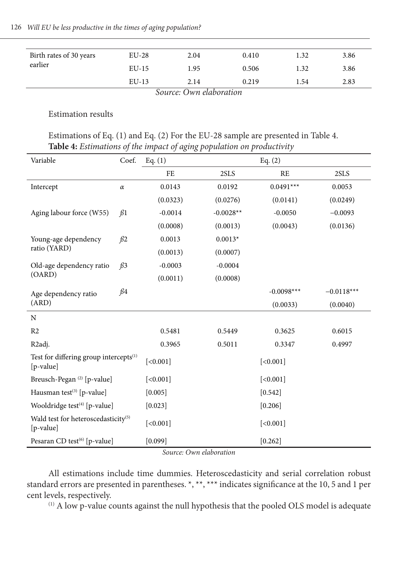| Birth rates of 30 years | $EU-28$ | 2.04   | 0.410         | 1.32 | 3.86 |
|-------------------------|---------|--------|---------------|------|------|
| earlier                 | $EU-15$ | 1.95   | 0.506         | 1.32 | 3.86 |
|                         | $EU-13$ | 2.14   | 0.219         | 1.54 | 2.83 |
|                         | $\sim$  | $\sim$ | $\sim$ $\sim$ |      |      |

### Estimation results

Estimations of Eq. (1) and Eq. (2) For the EU-28 sample are presented in Table 4. **Table 4:** *Estimations of the impact of aging population on productivity*

| Variable                                                        | Coef.     | Eq. (1)   |             | Eq. $(2)$    |              |  |
|-----------------------------------------------------------------|-----------|-----------|-------------|--------------|--------------|--|
|                                                                 |           | FE        | 2SLS        | <b>RE</b>    | 2SLS         |  |
| Intercept                                                       | $\alpha$  | 0.0143    | 0.0192      | $0.0491***$  | 0.0053       |  |
|                                                                 |           | (0.0323)  | (0.0276)    | (0.0141)     | (0.0249)     |  |
| Aging labour force (W55)                                        | $\beta$ 1 | $-0.0014$ | $-0.0028**$ | $-0.0050$    | $-0.0093$    |  |
|                                                                 |           | (0.0008)  | (0.0013)    | (0.0043)     | (0.0136)     |  |
| Young-age dependency                                            | $\beta$ 2 | 0.0013    | $0.0013*$   |              |              |  |
| ratio (YARD)                                                    |           | (0.0013)  | (0.0007)    |              |              |  |
| Old-age dependency ratio                                        | $\beta$ 3 | $-0.0003$ | $-0.0004$   |              |              |  |
| (OARD)                                                          |           | (0.0011)  | (0.0008)    |              |              |  |
| Age dependency ratio                                            | $\beta$ 4 |           |             | $-0.0098***$ | $-0.0118***$ |  |
| (ARD)                                                           |           |           |             | (0.0033)     | (0.0040)     |  |
| N                                                               |           |           |             |              |              |  |
| R <sub>2</sub>                                                  |           | 0.5481    | 0.5449      | 0.3625       | 0.6015       |  |
| R <sub>2</sub> adj.                                             |           | 0.3965    | 0.5011      | 0.3347       | 0.4997       |  |
| Test for differing group intercepts <sup>(1)</sup><br>[p-value] |           | [<0.001]  |             | [<0.001]     |              |  |
| Breusch-Pegan <sup>(2)</sup> [p-value]                          |           | [<0.001]  |             | [<0.001]     |              |  |
| Hausman test <sup>(3)</sup> [p-value]                           |           | [0.005]   |             | [0.542]      |              |  |
| Wooldridge test $(4)$ [p-value]                                 |           | [0.023]   |             | [0.206]      |              |  |
| Wald test for heteroscedasticity <sup>(5)</sup><br>$[p-value]$  |           | [<0.001]  |             | [<0.001]     |              |  |
| Pesaran CD test <sup>(6)</sup> [p-value]                        |           | [0.099]   |             | [0.262]      |              |  |

*Source: Own elaboration*

All estimations include time dummies. Heteroscedasticity and serial correlation robust standard errors are presented in parentheses. \*, \*\*, \*\*\* indicates significance at the 10, 5 and 1 per cent levels, respectively.

(1) A low p-value counts against the null hypothesis that the pooled OLS model is adequate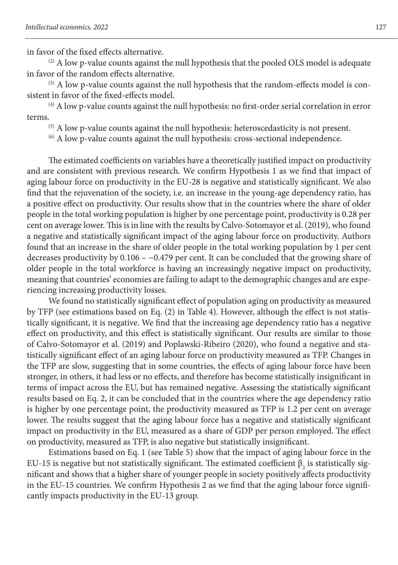in favor of the fixed effects alternative.

 $(2)$  A low p-value counts against the null hypothesis that the pooled OLS model is adequate in favor of the random effects alternative.

 $(3)$  A low p-value counts against the null hypothesis that the random-effects model is consistent in favor of the fixed-effects model.

 $^{(4)}$  A low p-value counts against the null hypothesis: no first-order serial correlation in error terms.

(5) A low p-value counts against the null hypothesis: heteroscedasticity is not present.

(6) A low p-value counts against the null hypothesis: cross-sectional independence.

The estimated coefficients on variables have a theoretically justified impact on productivity and are consistent with previous research. We confirm Hypothesis 1 as we find that impact of aging labour force on productivity in the EU-28 is negative and statistically significant. We also find that the rejuvenation of the society, i.e. an increase in the young-age dependency ratio, has a positive effect on productivity. Our results show that in the countries where the share of older people in the total working population is higher by one percentage point, productivity is 0.28 per cent on average lower. This is in line with the results by Calvo-Sotomayor et al. (2019), who found a negative and statistically significant impact of the aging labour force on productivity. Authors found that an increase in the share of older people in the total working population by 1 per cent decreases productivity by 0.106 – −0.479 per cent. It can be concluded that the growing share of older people in the total workforce is having an increasingly negative impact on productivity, meaning that countries' economies are failing to adapt to the demographic changes and are experiencing increasing productivity losses.

We found no statistically significant effect of population aging on productivity as measured by TFP (see estimations based on Eq. (2) in Table 4). However, although the effect is not statistically significant, it is negative. We find that the increasing age dependency ratio has a negative effect on productivity, and this effect is statistically significant. Our results are similar to those of Calvo-Sotomayor et al. (2019) and Poplawski-Ribeiro (2020), who found a negative and statistically significant effect of an aging labour force on productivity measured as TFP. Changes in the TFP are slow, suggesting that in some countries, the effects of aging labour force have been stronger, in others, it had less or no effects, and therefore has become statistically insignificant in terms of impact across the EU, but has remained negative. Assessing the statistically significant results based on Eq. 2, it can be concluded that in the countries where the age dependency ratio is higher by one percentage point, the productivity measured as TFP is 1.2 per cent on average lower. The results suggest that the aging labour force has a negative and statistically significant impact on productivity in the EU, measured as a share of GDP per person employed. The effect on productivity, measured as TFP, is also negative but statistically insignificant.

Estimations based on Eq. 1 (see Table 5) show that the impact of aging labour force in the EU-15 is negative but not statistically significant. The estimated coefficient  $\beta_{_2}$  is statistically significant and shows that a higher share of younger people in society positively affects productivity in the EU-15 countries. We confirm Hypothesis 2 as we find that the aging labour force significantly impacts productivity in the EU-13 group.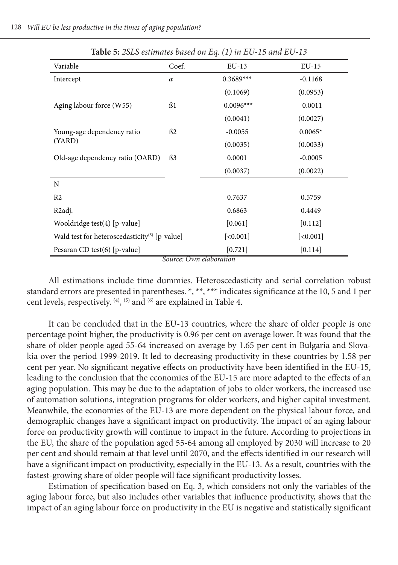| <b>Lavic</b> 5: 25L5 estimates based on Eq. (1) in EQ-15 and EQ-15 |          |              |           |  |  |
|--------------------------------------------------------------------|----------|--------------|-----------|--|--|
| Variable                                                           | Coef.    | $EU-13$      | EU-15     |  |  |
| Intercept                                                          | $\alpha$ | $0.3689***$  | $-0.1168$ |  |  |
|                                                                    |          | (0.1069)     | (0.0953)  |  |  |
| Aging labour force (W55)                                           | ß1       | $-0.0096***$ | $-0.0011$ |  |  |
|                                                                    |          | (0.0041)     | (0.0027)  |  |  |
| Young-age dependency ratio                                         | ß2       | $-0.0055$    | $0.0065*$ |  |  |
| (YARD)                                                             |          | (0.0035)     | (0.0033)  |  |  |
| Old-age dependency ratio (OARD)                                    | \$3      | 0.0001       | $-0.0005$ |  |  |
|                                                                    |          | (0.0037)     | (0.0022)  |  |  |
| N                                                                  |          |              |           |  |  |
| R <sub>2</sub>                                                     |          | 0.7637       | 0.5759    |  |  |
| R <sub>2</sub> adj.                                                |          | 0.6863       | 0.4449    |  |  |
| Wooldridge test(4) [p-value]                                       |          | [0.061]      | [0.112]   |  |  |
| Wald test for heteroscedasticity <sup>(5)</sup> [p-value]          |          | [<0.001]     | [<0.001]  |  |  |
| Pesaran CD test $(6)$ [p-value]                                    |          | [0.721]      | [0.114]   |  |  |

**Table 5:** *2SLS estimates based on Eq. (1) in EU-15 and EU-13*

All estimations include time dummies. Heteroscedasticity and serial correlation robust standard errors are presented in parentheses. \*, \*\*, \*\*\* indicates significance at the 10, 5 and 1 per cent levels, respectively.  $^{(4)}$ ,  $^{(5)}$  and  $^{(6)}$  are explained in Table 4.

It can be concluded that in the EU-13 countries, where the share of older people is one percentage point higher, the productivity is 0.96 per cent on average lower. It was found that the share of older people aged 55-64 increased on average by 1.65 per cent in Bulgaria and Slovakia over the period 1999-2019. It led to decreasing productivity in these countries by 1.58 per cent per year. No significant negative effects on productivity have been identified in the EU-15, leading to the conclusion that the economies of the EU-15 are more adapted to the effects of an aging population. This may be due to the adaptation of jobs to older workers, the increased use of automation solutions, integration programs for older workers, and higher capital investment. Meanwhile, the economies of the EU-13 are more dependent on the physical labour force, and demographic changes have a significant impact on productivity. The impact of an aging labour force on productivity growth will continue to impact in the future. According to projections in the EU, the share of the population aged 55-64 among all employed by 2030 will increase to 20 per cent and should remain at that level until 2070, and the effects identified in our research will have a significant impact on productivity, especially in the EU-13. As a result, countries with the fastest-growing share of older people will face significant productivity losses.

Estimation of specification based on Eq. 3, which considers not only the variables of the aging labour force, but also includes other variables that influence productivity, shows that the impact of an aging labour force on productivity in the EU is negative and statistically significant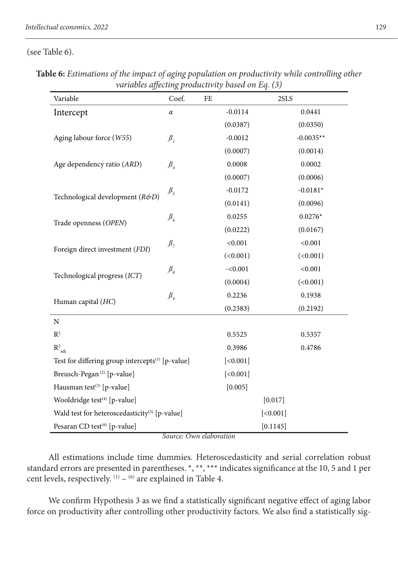(see Table 6).

| Variable                                                     | Coef.                           | FE        | 2SLS        |
|--------------------------------------------------------------|---------------------------------|-----------|-------------|
| Intercept                                                    | $\alpha$                        | $-0.0114$ | 0.0441      |
|                                                              |                                 | (0.0387)  | (0.0350)    |
| Aging labour force (W55)                                     | $\beta_{I}$                     | $-0.0012$ | $-0.0035**$ |
|                                                              |                                 | (0.0007)  | (0.0014)    |
| Age dependency ratio (ARD)                                   | $\beta_{\scriptscriptstyle 4}$  | 0.0008    | 0.0002      |
|                                                              |                                 | (0.0007)  | (0.0006)    |
| Technological development (R&D)                              | $\beta_{\rm 5}$                 | $-0.0172$ | $-0.0181*$  |
|                                                              |                                 | (0.0141)  | (0.0096)    |
|                                                              | $\beta_{\epsilon}$              | 0.0255    | $0.0276*$   |
| Trade openness (OPEN)                                        |                                 | (0.0222)  | (0.0167)    |
| Foreign direct investment (FDI)                              | $\beta_{7}$                     | < 0.001   | < 0.001     |
|                                                              |                                 | (<0.001)  | (<0.001)    |
|                                                              | $\mathcal{B}_s$                 | $-<0.001$ | < 0.001     |
| Technological progress (ICT)                                 |                                 | (0.0004)  | (<0.001)    |
|                                                              | $\beta_{\scriptscriptstyle{9}}$ | 0.2236    | 0.1938      |
| Human capital (HC)                                           |                                 | (0.2383)  | (0.2192)    |
| N                                                            |                                 |           |             |
| $R^2$                                                        |                                 | 0.5525    | 0.5357      |
| $R^2$ <sub>adj.</sub>                                        |                                 | 0.3986    | 0.4786      |
| Test for differing group intercepts <sup>(1)</sup> [p-value] |                                 | [<0.001]  |             |
| Breusch-Pegan <sup>(2)</sup> [p-value]                       |                                 | [<0.001]  |             |
| Hausman test <sup>(3)</sup> [p-value]                        |                                 | [0.005]   |             |
| Wooldridge test <sup>(4)</sup> [p-value]                     |                                 |           | [0.017]     |
| Wald test for heteroscedasticity <sup>(5)</sup> [p-value]    |                                 |           | [<0.001]    |
| Pesaran CD test <sup>(6)</sup> [p-value]                     |                                 |           | [0.1145]    |

**Table 6:** *Estimations of the impact of aging population on productivity while controlling other variables affecting productivity based on Eq. (3)*

*Source: Own elaboration*

All estimations include time dummies. Heteroscedasticity and serial correlation robust standard errors are presented in parentheses. \*, \*\*, \*\*\* indicates significance at the 10, 5 and 1 per cent levels, respectively.  $(1)$  –  $(6)$  are explained in Table 4.

We confirm Hypothesis 3 as we find a statistically significant negative effect of aging labor force on productivity after controlling other productivity factors. We also find a statistically sig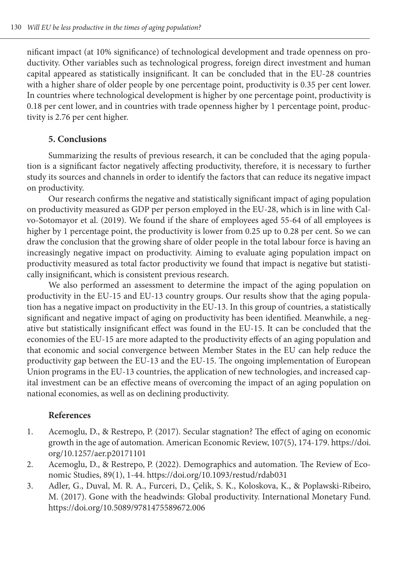nificant impact (at 10% significance) of technological development and trade openness on productivity. Other variables such as technological progress, foreign direct investment and human capital appeared as statistically insignificant. It can be concluded that in the EU-28 countries with a higher share of older people by one percentage point, productivity is 0.35 per cent lower. In countries where technological development is higher by one percentage point, productivity is 0.18 per cent lower, and in countries with trade openness higher by 1 percentage point, productivity is 2.76 per cent higher.

## **5. Conclusions**

Summarizing the results of previous research, it can be concluded that the aging population is a significant factor negatively affecting productivity, therefore, it is necessary to further study its sources and channels in order to identify the factors that can reduce its negative impact on productivity.

Our research confirms the negative and statistically significant impact of aging population on productivity measured as GDP per person employed in the EU-28, which is in line with Calvo-Sotomayor et al. (2019). We found if the share of employees aged 55-64 of all employees is higher by 1 percentage point, the productivity is lower from 0.25 up to 0.28 per cent. So we can draw the conclusion that the growing share of older people in the total labour force is having an increasingly negative impact on productivity. Aiming to evaluate aging population impact on productivity measured as total factor productivity we found that impact is negative but statistically insignificant, which is consistent previous research.

We also performed an assessment to determine the impact of the aging population on productivity in the EU-15 and EU-13 country groups. Our results show that the aging population has a negative impact on productivity in the EU-13. In this group of countries, a statistically significant and negative impact of aging on productivity has been identified. Meanwhile, a negative but statistically insignificant effect was found in the EU-15. It can be concluded that the economies of the EU-15 are more adapted to the productivity effects of an aging population and that economic and social convergence between Member States in the EU can help reduce the productivity gap between the EU-13 and the EU-15. The ongoing implementation of European Union programs in the EU-13 countries, the application of new technologies, and increased capital investment can be an effective means of overcoming the impact of an aging population on national economies, as well as on declining productivity.

## **References**

- 1. Acemoglu, D., & Restrepo, P. (2017). Secular stagnation? The effect of aging on economic growth in the age of automation. American Economic Review, 107(5), 174-179. https://doi. org/10.1257/aer.p20171101
- 2. Acemoglu, D., & Restrepo, P. (2022). Demographics and automation. The Review of Economic Studies, 89(1), 1-44. https://doi.org/10.1093/restud/rdab031
- 3. Adler, G., Duval, M. R. A., Furceri, D., Çelik, S. K., Koloskova, K., & Poplawski-Ribeiro, M. (2017). Gone with the headwinds: Global productivity. International Monetary Fund. https://doi.org/10.5089/9781475589672.006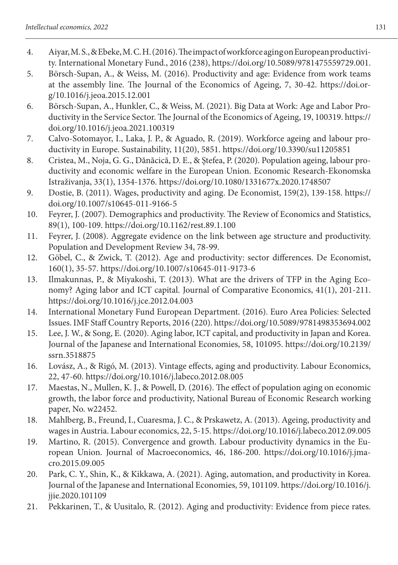- 4. Aiyar, M. S., & Ebeke, M. C. H. (2016). The impact of workforce aging on European productivity. International Monetary Fund., 2016 (238), https://doi.org/10.5089/9781475559729.001.
- 5. Börsch-Supan, A., & Weiss, M. (2016). Productivity and age: Evidence from work teams at the assembly line. The Journal of the Economics of Ageing, 7, 30-42. https://doi.org/10.1016/j.jeoa.2015.12.001
- 6. Börsch-Supan, A., Hunkler, C., & Weiss, M. (2021). Big Data at Work: Age and Labor Productivity in the Service Sector. The Journal of the Economics of Ageing, 19, 100319. https:// doi.org/10.1016/j.jeoa.2021.100319
- 7. Calvo-Sotomayor, I., Laka, J. P., & Aguado, R. (2019). Workforce ageing and labour productivity in Europe. Sustainability, 11(20), 5851. https://doi.org/10.3390/su11205851
- 8. Cristea, M., Noja, G. G., Dănăcică, D. E., & Ştefea, P. (2020). Population ageing, labour productivity and economic welfare in the European Union. Economic Research-Ekonomska Istraživanja, 33(1), 1354-1376. https://doi.org/10.1080/1331677x.2020.1748507
- 9. Dostie, B. (2011). Wages, productivity and aging. De Economist, 159(2), 139-158. https:// doi.org/10.1007/s10645-011-9166-5
- 10. Feyrer, J. (2007). Demographics and productivity. The Review of Economics and Statistics, 89(1), 100-109. https://doi.org/10.1162/rest.89.1.100
- 11. Feyrer, J. (2008). Aggregate evidence on the link between age structure and productivity. Population and Development Review 34, 78-99.
- 12. Göbel, C., & Zwick, T. (2012). Age and productivity: sector differences. De Economist, 160(1), 35-57. https://doi.org/10.1007/s10645-011-9173-6
- 13. Ilmakunnas, P., & Miyakoshi, T. (2013). What are the drivers of TFP in the Aging Economy? Aging labor and ICT capital. Journal of Comparative Economics, 41(1), 201-211. https://doi.org/10.1016/j.jce.2012.04.003
- 14. International Monetary Fund European Department. (2016). Euro Area Policies: Selected Issues. IMF Staff Country Reports, 2016 (220). https://doi.org/10.5089/9781498353694.002
- 15. Lee, J. W., & Song, E. (2020). Aging labor, ICT capital, and productivity in Japan and Korea. Journal of the Japanese and International Economies, 58, 101095. https://doi.org/10.2139/ ssrn.3518875
- 16. Lovász, A., & Rigó, M. (2013). Vintage effects, aging and productivity. Labour Economics, 22, 47-60. https://doi.org/10.1016/j.labeco.2012.08.005
- 17. Maestas, N., Mullen, K. J., & Powell, D. (2016). The effect of population aging on economic growth, the labor force and productivity, National Bureau of Economic Research working paper, No. w22452.
- 18. Mahlberg, B., Freund, I., Cuaresma, J. C., & Prskawetz, A. (2013). Ageing, productivity and wages in Austria. Labour economics, 22, 5-15. https://doi.org/10.1016/j.labeco.2012.09.005
- 19. Martino, R. (2015). Convergence and growth. Labour productivity dynamics in the European Union. Journal of Macroeconomics, 46, 186-200. https://doi.org/10.1016/j.jmacro.2015.09.005
- 20. Park, C. Y., Shin, K., & Kikkawa, A. (2021). Aging, automation, and productivity in Korea. Journal of the Japanese and International Economies, 59, 101109. https://doi.org/10.1016/j. jjie.2020.101109
- 21. Pekkarinen, T., & Uusitalo, R. (2012). Aging and productivity: Evidence from piece rates.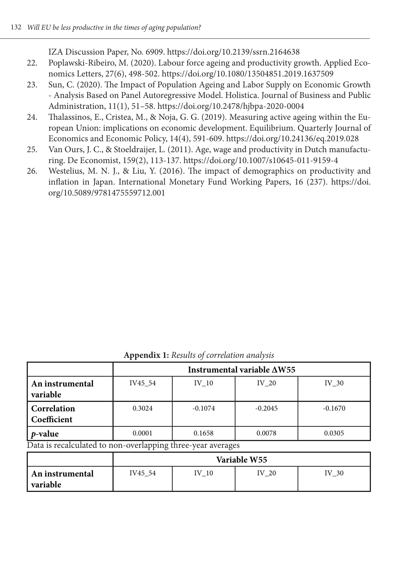IZA Discussion Paper, No. 6909. https://doi.org/10.2139/ssrn.2164638

- 22. Poplawski-Ribeiro, M. (2020). Labour force ageing and productivity growth. Applied Economics Letters, 27(6), 498-502. https://doi.org/10.1080/13504851.2019.1637509
- 23. Sun, C. (2020). The Impact of Population Ageing and Labor Supply on Economic Growth - Analysis Based on Panel Autoregressive Model. Holistica. Journal of Business and Public Administration, 11(1), 51–58. https://doi.org/10.2478/hjbpa-2020-0004
- 24. Thalassinos, E., Cristea, M., & Noja, G. G. (2019). Measuring active ageing within the European Union: implications on economic development. Equilibrium. Quarterly Journal of Economics and Economic Policy, 14(4), 591-609. https://doi.org/10.24136/eq.2019.028
- 25. Van Ours, J. C., & Stoeldraijer, L. (2011). Age, wage and productivity in Dutch manufacturing. De Economist, 159(2), 113-137. https://doi.org/10.1007/s10645-011-9159-4
- 26. Westelius, M. N. J., & Liu, Y. (2016). The impact of demographics on productivity and inflation in Japan. International Monetary Fund Working Papers, 16 (237). https://doi. org/10.5089/9781475559712.001

**Appendix 1:** *Results of correlation analysis*

|                             | Instrumental variable $\Delta W$ 55 |           |           |           |  |  |
|-----------------------------|-------------------------------------|-----------|-----------|-----------|--|--|
| An instrumental<br>variable | IV45 54                             | IV 10     | IV 20     | IV 30     |  |  |
| Correlation<br>Coefficient  | 0.3024                              | $-0.1074$ | $-0.2045$ | $-0.1670$ |  |  |
| <i>p</i> -value             | 0.0001<br>$-$                       | 0.1658    | 0.0078    | 0.0305    |  |  |

Data is recalculated to non-overlapping three-year averages

|                               | Variable W55 |          |       |          |  |
|-------------------------------|--------------|----------|-------|----------|--|
| An instrumental<br>  variable | IV45 54      | TV<br>10 | IV 20 | IV<br>30 |  |